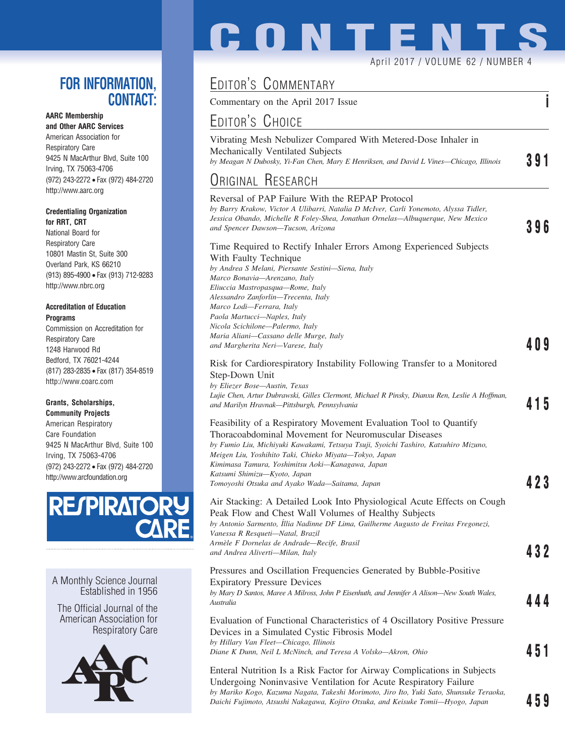## **FOR INFORMATION, CONTACT:**

### **AARC Membership**

**and Other AARC Services** American Association for Respiratory Care 9425 N MacArthur Blvd, Suite 100 Irving, TX 75063-4706 (972) 243-2272 • Fax (972) 484-2720 http://www.aarc.org

#### **Credentialing Organization for RRT, CRT**

National Board for Respiratory Care 10801 Mastin St, Suite 300 Overland Park, KS 66210 (913) 895-4900 • Fax (913) 712-9283 http://www.nbrc.org

#### **Accreditation of Education Programs**

Commission on Accreditation for Respiratory Care 1248 Harwood Rd Bedford, TX 76021-4244 (817) 283-2835 • Fax (817) 354-8519 http://www.coarc.com

### **Grants, Scholarships,**

**Community Projects** American Respiratory Care Foundation 9425 N MacArthur Blvd, Suite 100 Irving, TX 75063-4706 (972) 243-2272 • Fax (972) 484-2720 http://www.arcfoundation.org



A Monthly Science Journal Established in 1956

The Official Journal of the American Association for Respiratory Care



# **CONTENT** April 2017 / VOLUME 62 / NUMBER 4

## EDITOR'S COMMENTARY

Commentary on the April 2017 Issue **i**

## EDITOR'S CHOICE

Vibrating Mesh Nebulizer Compared With Metered-Dose Inhaler in Mechanically Ventilated Subjects *by Meagan N Dubosky, Yi-Fan Chen, Mary E Henriksen, and David L Vines—Chicago, Illinois* **391**

## <u>Original Research</u>

| <b>ORIGINAL RESEARCH</b>                                                                                                                                                                                                                                                                                                                                                                                                                         |       |
|--------------------------------------------------------------------------------------------------------------------------------------------------------------------------------------------------------------------------------------------------------------------------------------------------------------------------------------------------------------------------------------------------------------------------------------------------|-------|
| Reversal of PAP Failure With the REPAP Protocol<br>by Barry Krakow, Victor A Ulibarri, Natalia D McIver, Carli Yonemoto, Alyssa Tidler,<br>Jessica Obando, Michelle R Foley-Shea, Jonathan Ornelas—Albuquerque, New Mexico<br>and Spencer Dawson-Tucson, Arizona                                                                                                                                                                                 | 396   |
| Time Required to Rectify Inhaler Errors Among Experienced Subjects<br>With Faulty Technique<br>by Andrea S Melani, Piersante Sestini-Siena, Italy<br>Marco Bonavia-Arenzano, Italy<br>Eliuccia Mastropasqua—Rome, Italy<br>Alessandro Zanforlin—Trecenta, Italy<br>Marco Lodi-Ferrara, Italy<br>Paola Martucci-Naples, Italy<br>Nicola Scichilone—Palermo, Italy<br>Maria Aliani-Cassano delle Murge, Italy<br>and Margherita Neri-Varese, Italy | 4 O 9 |
| Risk for Cardiorespiratory Instability Following Transfer to a Monitored<br>Step-Down Unit<br>by Eliezer Bose-Austin, Texas<br>Lujie Chen, Artur Dubrawski, Gilles Clermont, Michael R Pinsky, Dianxu Ren, Leslie A Hoffman,<br>and Marilyn Hravnak-Pittsburgh, Pennsylvania                                                                                                                                                                     | 415   |
| Feasibility of a Respiratory Movement Evaluation Tool to Quantify<br>Thoracoabdominal Movement for Neuromuscular Diseases<br>by Fumio Liu, Michiyuki Kawakami, Tetsuya Tsuji, Syoichi Tashiro, Katsuhiro Mizuno,<br>Meigen Liu, Yoshihito Taki, Chieko Miyata-Tokyo, Japan<br>Kimimasa Tamura, Yoshimitsu Aoki-Kanagawa, Japan<br>Katsumi Shimizu—Kyoto, Japan<br>Tomoyoshi Otsuka and Ayako Wada—Saitama, Japan                                 | 423   |
| Air Stacking: A Detailed Look Into Physiological Acute Effects on Cough<br>Peak Flow and Chest Wall Volumes of Healthy Subjects<br>by Antonio Sarmento, Íllia Nadinne DF Lima, Guilherme Augusto de Freitas Fregonezi,<br>Vanessa R Resqueti-Natal, Brazil<br>Armèle F Dornelas de Andrade—Recife, Brasil<br>and Andrea Aliverti-Milan, Italy                                                                                                    | 432   |
| Pressures and Oscillation Frequencies Generated by Bubble-Positive<br><b>Expiratory Pressure Devices</b><br>by Mary D Santos, Maree A Milross, John P Eisenhuth, and Jennifer A Alison—New South Wales,<br>Australia                                                                                                                                                                                                                             | 444   |
| Evaluation of Functional Characteristics of 4 Oscillatory Positive Pressure<br>Devices in a Simulated Cystic Fibrosis Model<br>by Hillary Van Fleet-Chicago, Illinois<br>Diane K Dunn, Neil L McNinch, and Teresa A Volsko—Akron, Ohio                                                                                                                                                                                                           | 451   |
| Enteral Nutrition Is a Risk Factor for Airway Complications in Subjects<br>Undergoing Noninvasive Ventilation for Acute Respiratory Failure<br>by Mariko Kogo, Kazuma Nagata, Takeshi Morimoto, Jiro Ito, Yuki Sato, Shunsuke Teraoka,<br>Daichi Fujimoto, Atsushi Nakagawa, Kojiro Otsuka, and Keisuke Tomii—Hyogo, Japan                                                                                                                       | 459   |